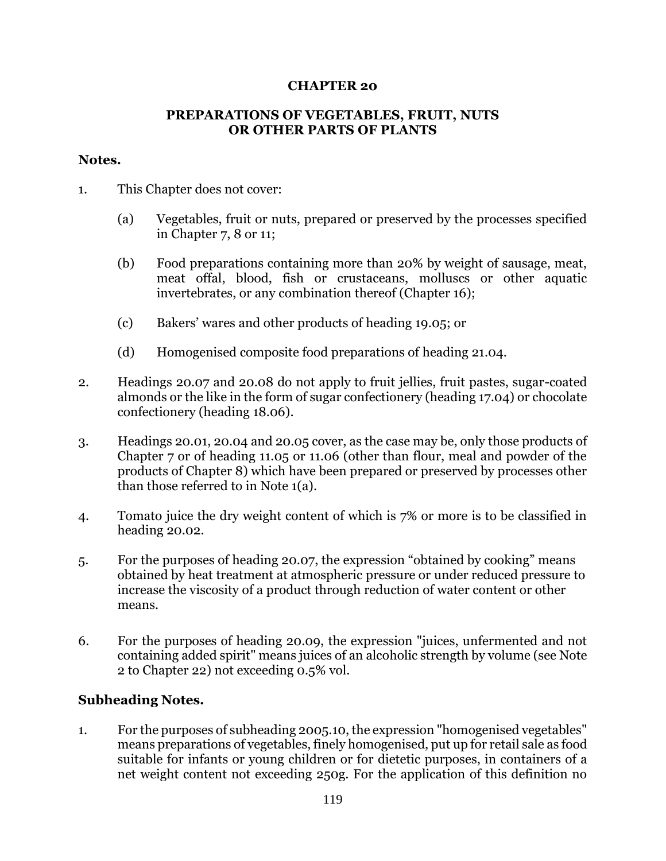## **CHAPTER 20**

### **PREPARATIONS OF VEGETABLES, FRUIT, NUTS OR OTHER PARTS OF PLANTS**

### **Notes.**

- 1. This Chapter does not cover:
	- (a) Vegetables, fruit or nuts, prepared or preserved by the processes specified in Chapter 7, 8 or 11;
	- (b) Food preparations containing more than 20% by weight of sausage, meat, meat offal, blood, fish or crustaceans, molluscs or other aquatic invertebrates, or any combination thereof (Chapter 16);
	- (c) Bakers' wares and other products of heading 19.05; or
	- (d) Homogenised composite food preparations of heading 21.04.
- 2. Headings 20.07 and 20.08 do not apply to fruit jellies, fruit pastes, sugar-coated almonds or the like in the form of sugar confectionery (heading 17.04) or chocolate confectionery (heading 18.06).
- 3. Headings 20.01, 20.04 and 20.05 cover, as the case may be, only those products of Chapter 7 or of heading 11.05 or 11.06 (other than flour, meal and powder of the products of Chapter 8) which have been prepared or preserved by processes other than those referred to in Note 1(a).
- 4. Tomato juice the dry weight content of which is 7% or more is to be classified in heading 20.02.
- 5. For the purposes of heading 20.07, the expression "obtained by cooking" means obtained by heat treatment at atmospheric pressure or under reduced pressure to increase the viscosity of a product through reduction of water content or other means.
- 6. For the purposes of heading 20.09, the expression "juices, unfermented and not containing added spirit" means juices of an alcoholic strength by volume (see Note 2 to Chapter 22) not exceeding 0.5% vol.

## **Subheading Notes.**

1. For the purposes of subheading 2005.10, the expression "homogenised vegetables" means preparations of vegetables, finely homogenised, put up for retail sale as food suitable for infants or young children or for dietetic purposes, in containers of a net weight content not exceeding 250g. For the application of this definition no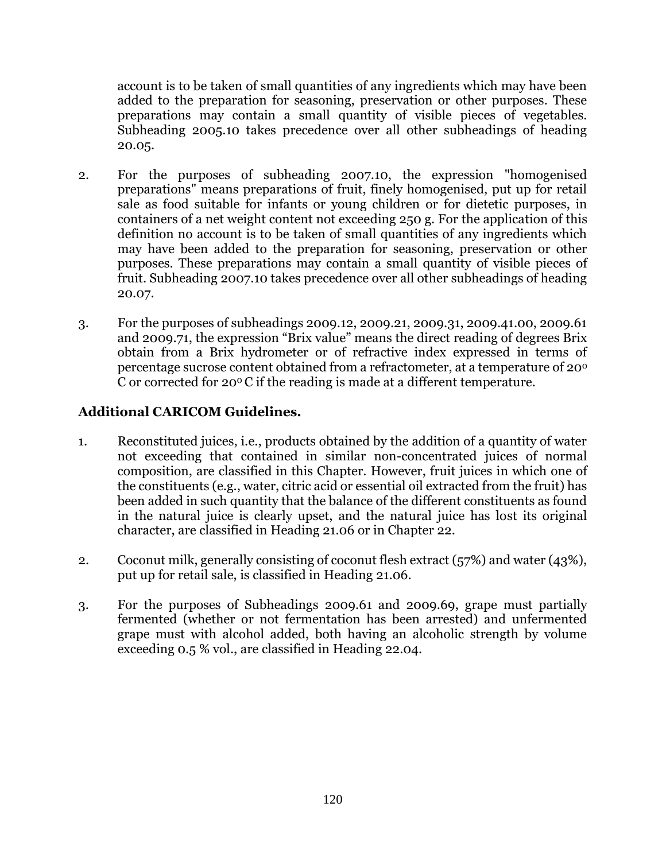account is to be taken of small quantities of any ingredients which may have been added to the preparation for seasoning, preservation or other purposes. These preparations may contain a small quantity of visible pieces of vegetables. Subheading 2005.10 takes precedence over all other subheadings of heading 20.05.

- 2. For the purposes of subheading 2007.10, the expression "homogenised preparations" means preparations of fruit, finely homogenised, put up for retail sale as food suitable for infants or young children or for dietetic purposes, in containers of a net weight content not exceeding 250 g. For the application of this definition no account is to be taken of small quantities of any ingredients which may have been added to the preparation for seasoning, preservation or other purposes. These preparations may contain a small quantity of visible pieces of fruit. Subheading 2007.10 takes precedence over all other subheadings of heading 20.07.
- 3. For the purposes of subheadings 2009.12, 2009.21, 2009.31, 2009.41.00, 2009.61 and 2009.71, the expression "Brix value" means the direct reading of degrees Brix obtain from a Brix hydrometer or of refractive index expressed in terms of percentage sucrose content obtained from a refractometer, at a temperature of 20<sup>0</sup> C or corrected for  $20^{\circ}$  C if the reading is made at a different temperature.

# **Additional CARICOM Guidelines.**

- 1. Reconstituted juices, i.e., products obtained by the addition of a quantity of water not exceeding that contained in similar non-concentrated juices of normal composition, are classified in this Chapter. However, fruit juices in which one of the constituents (e.g., water, citric acid or essential oil extracted from the fruit) has been added in such quantity that the balance of the different constituents as found in the natural juice is clearly upset, and the natural juice has lost its original character, are classified in Heading 21.06 or in Chapter 22.
- 2. Coconut milk, generally consisting of coconut flesh extract  $(57%)$  and water  $(43%)$ , put up for retail sale, is classified in Heading 21.06.
- 3. For the purposes of Subheadings 2009.61 and 2009.69, grape must partially fermented (whether or not fermentation has been arrested) and unfermented grape must with alcohol added, both having an alcoholic strength by volume exceeding 0.5 % vol., are classified in Heading 22.04.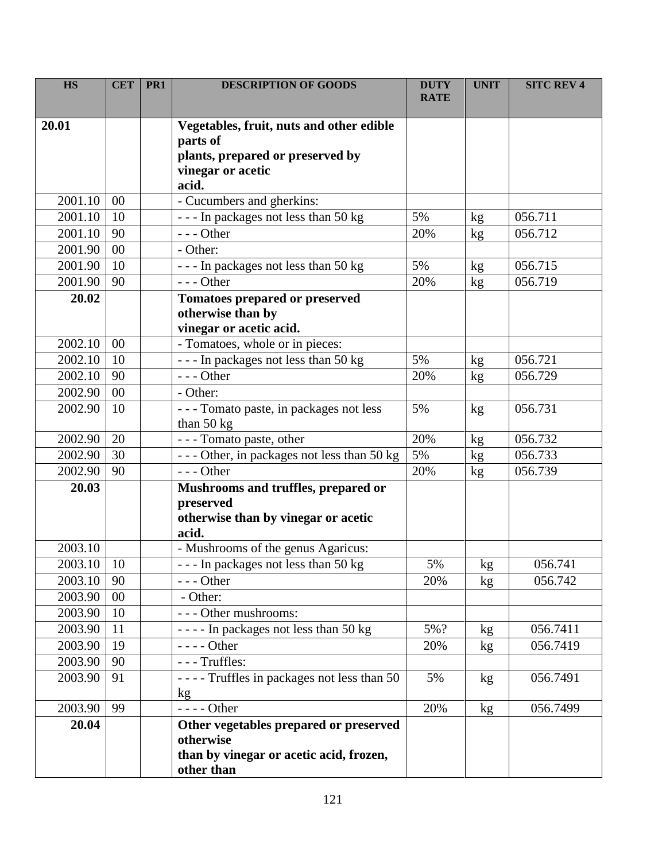| <b>HS</b>    | <b>CET</b> | PR <sub>1</sub> | <b>DESCRIPTION OF GOODS</b>                                    | <b>DUTY</b><br><b>RATE</b> | <b>UNIT</b> | <b>SITC REV 4</b> |
|--------------|------------|-----------------|----------------------------------------------------------------|----------------------------|-------------|-------------------|
|              |            |                 |                                                                |                            |             |                   |
| 20.01        |            |                 | Vegetables, fruit, nuts and other edible                       |                            |             |                   |
|              |            |                 | parts of                                                       |                            |             |                   |
|              |            |                 | plants, prepared or preserved by                               |                            |             |                   |
|              |            |                 | vinegar or acetic                                              |                            |             |                   |
|              |            |                 | acid.                                                          |                            |             |                   |
| 2001.10      | $00\,$     |                 | - Cucumbers and gherkins:                                      |                            |             |                   |
| 2001.10      | 10         |                 | --- In packages not less than 50 kg                            | 5%                         | kg          | 056.711           |
| 2001.10      | 90         |                 | $--$ Other                                                     | 20%                        | kg          | 056.712           |
| 2001.90      | 00         |                 | - Other:                                                       |                            |             |                   |
| 2001.90      | 10         |                 | --- In packages not less than 50 kg                            | 5%                         | kg          | 056.715           |
| 2001.90      | 90         |                 | $--$ Other                                                     | 20%                        | kg          | 056.719           |
| 20.02        |            |                 | <b>Tomatoes prepared or preserved</b>                          |                            |             |                   |
|              |            |                 | otherwise than by                                              |                            |             |                   |
|              |            |                 | vinegar or acetic acid.                                        |                            |             |                   |
| 2002.10      | 00         |                 | - Tomatoes, whole or in pieces:                                |                            |             |                   |
| 2002.10      | 10         |                 | --- In packages not less than 50 kg                            | 5%                         | kg          | 056.721           |
| 2002.10      | 90         |                 | $--$ Other                                                     | 20%                        | kg          | 056.729           |
| 2002.90      | 00         |                 | - Other:                                                       |                            |             |                   |
| 2002.90      | 10         |                 | --- Tomato paste, in packages not less<br>than $50 \text{ kg}$ | 5%                         | kg          | 056.731           |
| 2002.90      | 20         |                 | - - - Tomato paste, other                                      | 20%                        | kg          | 056.732           |
| 2002.90      | 30         |                 | --- Other, in packages not less than 50 kg                     | 5%                         | kg          | 056.733           |
| 2002.90      | 90         |                 | $--$ Other                                                     | 20%                        | kg          | 056.739           |
| 20.03        |            |                 | Mushrooms and truffles, prepared or                            |                            |             |                   |
|              |            |                 | preserved                                                      |                            |             |                   |
|              |            |                 | otherwise than by vinegar or acetic                            |                            |             |                   |
|              |            |                 | acid.                                                          |                            |             |                   |
| 2003.10      |            |                 | - Mushrooms of the genus Agaricus:                             |                            |             |                   |
| 2003.10   10 |            |                 | In packages not less than 50 kg                                | 5%                         | kg          | 056.741           |
| 2003.10      | 90         |                 | - - - Other                                                    | 20%                        | kg          | 056.742           |
| 2003.90      | $00\,$     |                 | - Other:                                                       |                            |             |                   |
| 2003.90      | 10         |                 | --- Other mushrooms:                                           |                            |             |                   |
| 2003.90      | 11         |                 | ---- In packages not less than 50 kg                           | 5%?                        | kg          | 056.7411          |
| 2003.90      | 19         |                 | - - - - Other                                                  | 20%                        | kg          | 056.7419          |
| 2003.90      | 90         |                 | - - - Truffles:                                                |                            |             |                   |
| 2003.90      | 91         |                 | - - - - Truffles in packages not less than 50<br>kg            | 5%                         | kg          | 056.7491          |
| 2003.90      | 99         |                 | $---Other$                                                     | 20%                        | kg          | 056.7499          |
| 20.04        |            |                 | Other vegetables prepared or preserved<br>otherwise            |                            |             |                   |
|              |            |                 | than by vinegar or acetic acid, frozen,                        |                            |             |                   |
|              |            |                 | other than                                                     |                            |             |                   |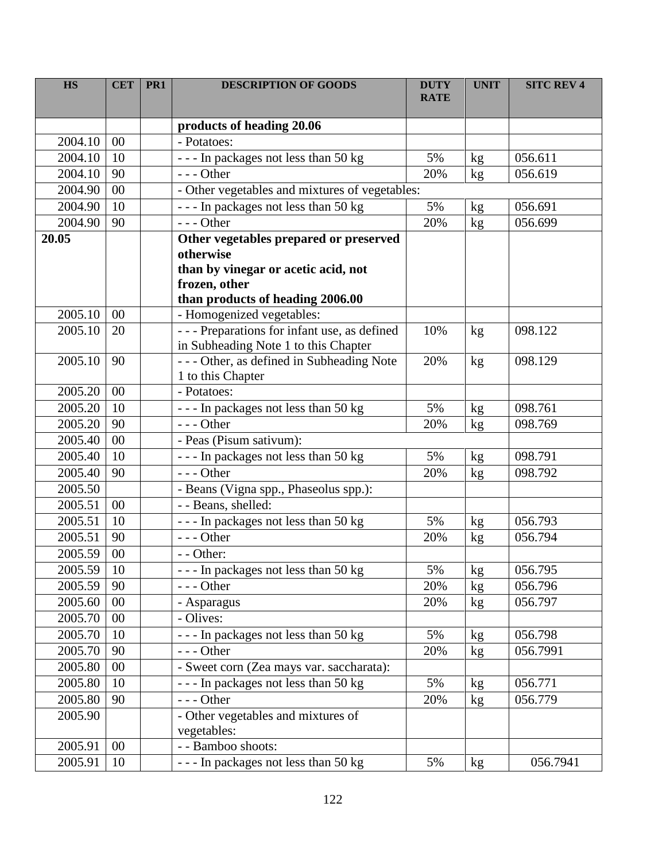| <b>HS</b> | <b>CET</b>     | PR1 | <b>DESCRIPTION OF GOODS</b>                                   | <b>DUTY</b><br><b>RATE</b> | <b>UNIT</b>     | <b>SITC REV 4</b> |
|-----------|----------------|-----|---------------------------------------------------------------|----------------------------|-----------------|-------------------|
|           |                |     | products of heading 20.06                                     |                            |                 |                   |
| 2004.10   | 00             |     | - Potatoes:                                                   |                            |                 |                   |
| 2004.10   | 10             |     | --- In packages not less than 50 kg                           | 5%                         | kg              | 056.611           |
| 2004.10   | 90             |     | $--$ Other                                                    | 20%                        | kg              | 056.619           |
| 2004.90   | 00             |     | - Other vegetables and mixtures of vegetables:                |                            |                 |                   |
| 2004.90   | 10             |     | --- In packages not less than 50 kg                           | 5%                         | kg              | 056.691           |
| 2004.90   | 90             |     | $--$ Other                                                    | 20%                        | kg              | 056.699           |
| 20.05     |                |     | Other vegetables prepared or preserved<br>otherwise           |                            |                 |                   |
|           |                |     | than by vinegar or acetic acid, not<br>frozen, other          |                            |                 |                   |
| 2005.10   | 0 <sup>0</sup> |     | than products of heading 2006.00<br>- Homogenized vegetables: |                            |                 |                   |
| 2005.10   | 20             |     | - - - Preparations for infant use, as defined                 | 10%                        | kg              | 098.122           |
|           |                |     | in Subheading Note 1 to this Chapter                          |                            |                 |                   |
| 2005.10   | 90             |     | --- Other, as defined in Subheading Note<br>1 to this Chapter | 20%                        | kg              | 098.129           |
| 2005.20   | 00             |     | - Potatoes:                                                   |                            |                 |                   |
| 2005.20   | 10             |     | --- In packages not less than 50 kg                           | 5%                         | kg              | 098.761           |
| 2005.20   | 90             |     | $--$ Other                                                    | 20%                        | kg              | 098.769           |
| 2005.40   | 00             |     | - Peas (Pisum sativum):                                       |                            |                 |                   |
| 2005.40   | 10             |     | --- In packages not less than 50 kg                           | 5%                         | kg              | 098.791           |
| 2005.40   | 90             |     | $--$ Other                                                    | 20%                        | kg              | 098.792           |
| 2005.50   |                |     | - Beans (Vigna spp., Phaseolus spp.):                         |                            |                 |                   |
| 2005.51   | 00             |     | - - Beans, shelled:                                           |                            |                 |                   |
| 2005.51   | 10             |     | --- In packages not less than 50 kg                           | 5%                         | kg              | 056.793           |
| 2005.51   | 90             |     | $--$ Other                                                    | 20%                        | kg              | 056.794           |
| 2005.59   | 00             |     | - - Other:                                                    |                            |                 |                   |
| 2005.59   | 10             |     | --- In packages not less than 50 kg                           | 5%                         | kg              | 056.795           |
| 2005.59   | 90             |     | --- Other                                                     | 20%                        | kg              | 056.796           |
| 2005.60   | 00             |     | - Asparagus                                                   | 20%                        | kg              | 056.797           |
| 2005.70   | 00             |     | - Olives:                                                     |                            |                 |                   |
| 2005.70   | 10             |     | --- In packages not less than 50 kg                           | 5%                         | kg              | 056.798           |
| 2005.70   | 90             |     | $--$ Other                                                    | 20%                        | kg              | 056.7991          |
| 2005.80   | 00             |     | - Sweet corn (Zea mays var. saccharata):                      |                            |                 |                   |
| 2005.80   | 10             |     | --- In packages not less than 50 kg                           | 5%                         | kg              | 056.771           |
| 2005.80   | 90             |     | --- Other                                                     | 20%                        | kg <sub>2</sub> | 056.779           |
| 2005.90   |                |     | - Other vegetables and mixtures of<br>vegetables:             |                            |                 |                   |
| 2005.91   | 00             |     | - - Bamboo shoots:                                            |                            |                 |                   |
| 2005.91   | 10             |     | --- In packages not less than 50 kg                           | 5%                         | kg              | 056.7941          |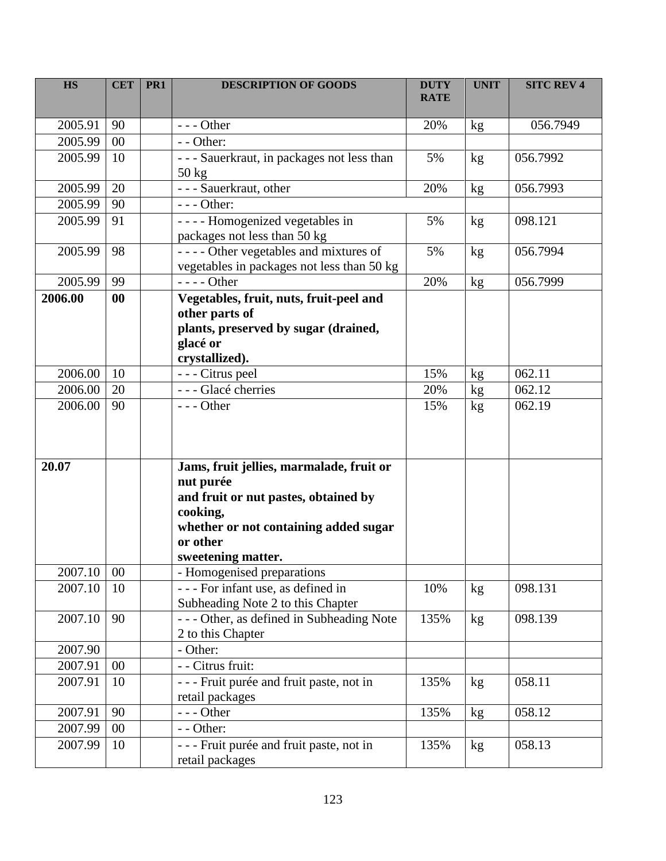| <b>HS</b> | <b>CET</b> | PR <sub>1</sub> | <b>DESCRIPTION OF GOODS</b>                                                                                                                                                          | <b>DUTY</b><br><b>RATE</b> | <b>UNIT</b>   | <b>SITC REV 4</b> |
|-----------|------------|-----------------|--------------------------------------------------------------------------------------------------------------------------------------------------------------------------------------|----------------------------|---------------|-------------------|
| 2005.91   | 90         |                 | $--$ Other                                                                                                                                                                           | 20%                        | kg            | 056.7949          |
| 2005.99   | 00         |                 | - - Other:                                                                                                                                                                           |                            |               |                   |
| 2005.99   | 10         |                 | - - - Sauerkraut, in packages not less than<br>$50 \text{ kg}$                                                                                                                       | 5%                         | kg            | 056.7992          |
| 2005.99   | 20         |                 | - - - Sauerkraut, other                                                                                                                                                              | 20%                        | kg            | 056.7993          |
| 2005.99   | 90         |                 | $--$ Other:                                                                                                                                                                          |                            |               |                   |
| 2005.99   | 91         |                 | ---- Homogenized vegetables in<br>packages not less than 50 kg                                                                                                                       | 5%                         | kg            | 098.121           |
| 2005.99   | 98         |                 | ---- Other vegetables and mixtures of<br>vegetables in packages not less than 50 kg                                                                                                  | 5%                         | kg            | 056.7994          |
| 2005.99   | 99         |                 | $--- Other$                                                                                                                                                                          | 20%                        | kg            | 056.7999          |
| 2006.00   | 00         |                 | Vegetables, fruit, nuts, fruit-peel and<br>other parts of<br>plants, preserved by sugar (drained,<br>glacé or<br>crystallized).                                                      |                            |               |                   |
| 2006.00   | 10         |                 | - - - Citrus peel                                                                                                                                                                    | 15%                        | kg            | 062.11            |
| 2006.00   | 20         |                 | - - - Glacé cherries                                                                                                                                                                 | 20%                        | kg            | 062.12            |
| 2006.00   | 90         |                 | $--$ Other                                                                                                                                                                           | 15%                        | kg            | 062.19            |
| 20.07     |            |                 | Jams, fruit jellies, marmalade, fruit or<br>nut purée<br>and fruit or nut pastes, obtained by<br>cooking,<br>whether or not containing added sugar<br>or other<br>sweetening matter. |                            |               |                   |
| 2007.10   | 00         |                 | - Homogenised preparations                                                                                                                                                           |                            |               |                   |
| 2007.10   | 10         |                 | --- For infant use, as defined in<br>Subheading Note 2 to this Chapter                                                                                                               | 10%                        | $\mathrm{kg}$ | 098.131           |
| 2007.10   | 90         |                 | --- Other, as defined in Subheading Note<br>2 to this Chapter                                                                                                                        | 135%                       | kg            | 098.139           |
| 2007.90   |            |                 | - Other:                                                                                                                                                                             |                            |               |                   |
| 2007.91   | $00\,$     |                 | - - Citrus fruit:                                                                                                                                                                    |                            |               |                   |
| 2007.91   | 10         |                 | - - - Fruit purée and fruit paste, not in<br>retail packages                                                                                                                         | 135%                       | kg            | 058.11            |
| 2007.91   | 90         |                 | $--$ Other                                                                                                                                                                           | 135%                       | kg            | 058.12            |
| 2007.99   | 00         |                 | - - Other:                                                                                                                                                                           |                            |               |                   |
| 2007.99   | 10         |                 | - - - Fruit purée and fruit paste, not in<br>retail packages                                                                                                                         | 135%                       | kg            | 058.13            |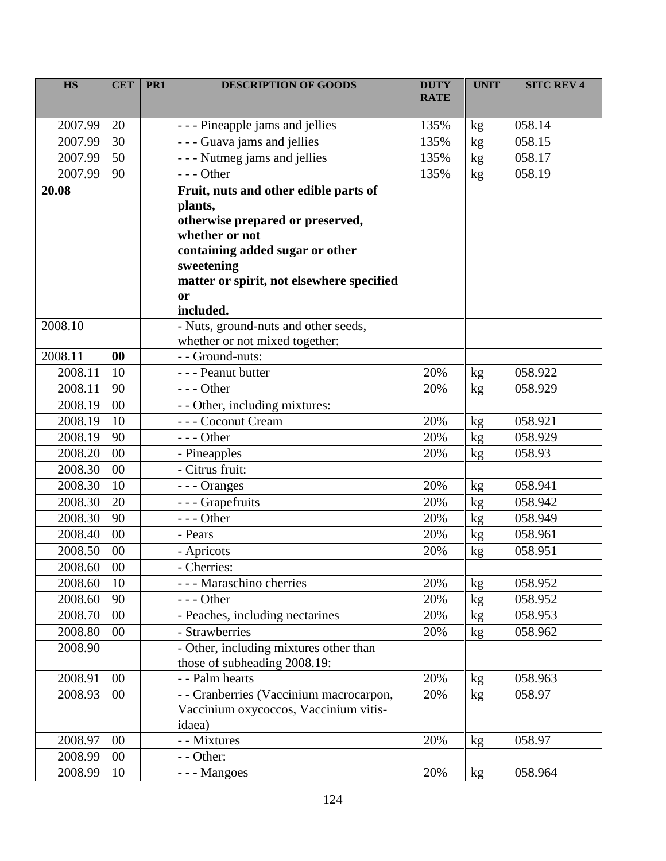| <b>HS</b> | <b>CET</b>      | PR <sub>1</sub> | <b>DESCRIPTION OF GOODS</b>               | <b>DUTY</b><br><b>RATE</b> | <b>UNIT</b> | <b>SITC REV 4</b> |
|-----------|-----------------|-----------------|-------------------------------------------|----------------------------|-------------|-------------------|
| 2007.99   | 20              |                 | - - - Pineapple jams and jellies          | 135%                       | kg          | 058.14            |
| 2007.99   | 30              |                 | - - - Guava jams and jellies              | 135%                       | kg          | 058.15            |
| 2007.99   | 50              |                 | - - - Nutmeg jams and jellies             | 135%                       | kg          | 058.17            |
| 2007.99   | 90              |                 | $--$ Other                                | 135%                       | kg          | 058.19            |
| 20.08     |                 |                 | Fruit, nuts and other edible parts of     |                            |             |                   |
|           |                 |                 | plants,                                   |                            |             |                   |
|           |                 |                 | otherwise prepared or preserved,          |                            |             |                   |
|           |                 |                 | whether or not                            |                            |             |                   |
|           |                 |                 | containing added sugar or other           |                            |             |                   |
|           |                 |                 | sweetening                                |                            |             |                   |
|           |                 |                 | matter or spirit, not elsewhere specified |                            |             |                   |
|           |                 |                 | <b>or</b><br>included.                    |                            |             |                   |
| 2008.10   |                 |                 | - Nuts, ground-nuts and other seeds,      |                            |             |                   |
|           |                 |                 | whether or not mixed together:            |                            |             |                   |
| 2008.11   | 00              |                 | - - Ground-nuts:                          |                            |             |                   |
| 2008.11   | 10              |                 | - - - Peanut butter                       | 20%                        | kg          | 058.922           |
| 2008.11   | 90              |                 | $--$ Other                                | 20%                        | kg          | 058.929           |
| 2008.19   | 00              |                 | - - Other, including mixtures:            |                            |             |                   |
| 2008.19   | 10              |                 | - - - Coconut Cream                       | 20%                        | kg          | 058.921           |
| 2008.19   | 90              |                 | $--$ Other                                | 20%                        | kg          | 058.929           |
| 2008.20   | 00              |                 | - Pineapples                              | 20%                        | kg          | 058.93            |
| 2008.30   | 00              |                 | - Citrus fruit:                           |                            |             |                   |
| 2008.30   | 10              |                 | - - - Oranges                             | 20%                        | kg          | 058.941           |
| 2008.30   | 20              |                 | - - - Grapefruits                         | 20%                        | kg          | 058.942           |
| 2008.30   | 90              |                 | --- Other                                 | 20%                        | kg          | 058.949           |
| 2008.40   | 00              |                 | - Pears                                   | 20%                        | kg          | 058.961           |
| 2008.50   | $00\,$          |                 | - Apricots                                | 20%                        | kg          | 058.951           |
| 2008.60   | $\overline{00}$ |                 | - Cherries:                               |                            |             |                   |
| 2008.60   | 10              |                 | - - - Maraschino cherries                 | 20%                        | kg          | 058.952           |
| 2008.60   | 90              |                 | $--$ Other                                | 20%                        | kg          | 058.952           |
| 2008.70   | $00\,$          |                 | - Peaches, including nectarines           | 20%                        | kg          | 058.953           |
| 2008.80   | $00\,$          |                 | - Strawberries                            | 20%                        | kg          | 058.962           |
| 2008.90   |                 |                 | - Other, including mixtures other than    |                            |             |                   |
|           |                 |                 | those of subheading 2008.19:              |                            |             |                   |
| 2008.91   | 00              |                 | - - Palm hearts                           | 20%                        | kg          | 058.963           |
| 2008.93   | $00\,$          |                 | - - Cranberries (Vaccinium macrocarpon,   | 20%                        | kg          | 058.97            |
|           |                 |                 | Vaccinium oxycoccos, Vaccinium vitis-     |                            |             |                   |
|           |                 |                 | idaea)                                    |                            |             |                   |
| 2008.97   | 00              |                 | - - Mixtures                              | 20%                        | kg          | 058.97            |
| 2008.99   | $00\,$          |                 | - - Other:                                |                            |             |                   |
| 2008.99   | 10              |                 | - - - Mangoes                             | 20%                        | kg          | 058.964           |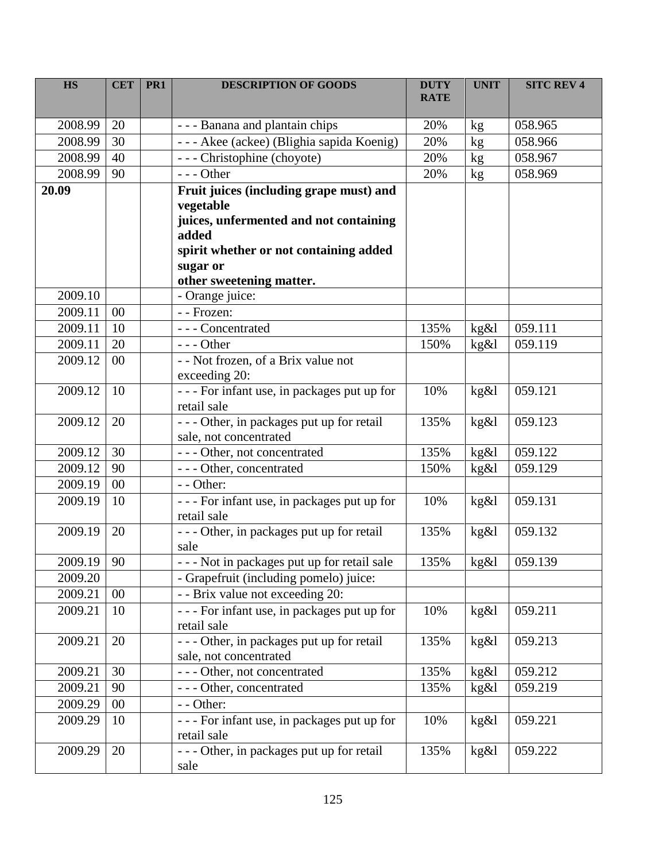| <b>HS</b>    | <b>CET</b> | PR <sub>1</sub> | <b>DESCRIPTION OF GOODS</b>                                                                    | <b>DUTY</b><br><b>RATE</b> | <b>UNIT</b> | <b>SITC REV 4</b> |
|--------------|------------|-----------------|------------------------------------------------------------------------------------------------|----------------------------|-------------|-------------------|
| 2008.99      | 20         |                 | - - - Banana and plantain chips                                                                | 20%                        | kg          | 058.965           |
| 2008.99      | 30         |                 | - - - Akee (ackee) (Blighia sapida Koenig)                                                     | 20%                        | kg          | 058.966           |
| 2008.99      | 40         |                 | --- Christophine (choyote)                                                                     | 20%                        | kg          | 058.967           |
| 2008.99      | 90         |                 | --- Other                                                                                      | 20%                        | kg          | 058.969           |
| 20.09        |            |                 | Fruit juices (including grape must) and<br>vegetable<br>juices, unfermented and not containing |                            |             |                   |
|              |            |                 | added<br>spirit whether or not containing added<br>sugar or<br>other sweetening matter.        |                            |             |                   |
| 2009.10      |            |                 | - Orange juice:                                                                                |                            |             |                   |
| 2009.11      | 00         |                 | - - Frozen:                                                                                    |                            |             |                   |
| 2009.11      | 10         |                 | --- Concentrated                                                                               | 135%                       | kg&l        | 059.111           |
| 2009.11      | 20         |                 | $--$ Other                                                                                     | 150%                       | kg&l        | 059.119           |
| 2009.12      | $00\,$     |                 | - - Not frozen, of a Brix value not<br>exceeding 20:                                           |                            |             |                   |
| 2009.12      | 10         |                 | - - - For infant use, in packages put up for<br>retail sale                                    | 10%                        | kg&l        | 059.121           |
| 2009.12      | 20         |                 | --- Other, in packages put up for retail<br>sale, not concentrated                             | 135%                       | kg&l        | 059.123           |
| 2009.12      | 30         |                 | --- Other, not concentrated                                                                    | 135%                       | kg&l        | 059.122           |
| 2009.12      | 90         |                 | - - - Other, concentrated                                                                      | 150%                       | kg&l        | 059.129           |
| 2009.19      | 00         |                 | - - Other:                                                                                     |                            |             |                   |
| 2009.19      | 10         |                 | - - - For infant use, in packages put up for<br>retail sale                                    | 10%                        | kg&l        | 059.131           |
| 2009.19      | 20         |                 | - - - Other, in packages put up for retail<br>sale                                             | 135%                       | kg&l        | 059.132           |
| $2009.19$ 90 |            |                 | --- Not in packages put up for retail sale                                                     | 135%                       | kg&l        | 059.139           |
| 2009.20      |            |                 | - Grapefruit (including pomelo) juice:                                                         |                            |             |                   |
| 2009.21      | $00\,$     |                 | - - Brix value not exceeding 20:                                                               |                            |             |                   |
| 2009.21      | 10         |                 | - - - For infant use, in packages put up for<br>retail sale                                    | 10%                        | kg&l        | 059.211           |
| 2009.21      | 20         |                 | - - - Other, in packages put up for retail<br>sale, not concentrated                           | 135%                       | kg&l        | 059.213           |
| 2009.21      | 30         |                 | - - - Other, not concentrated                                                                  | 135%                       | kg&l        | 059.212           |
| 2009.21      | 90         |                 | --- Other, concentrated                                                                        | 135%                       | kg&l        | 059.219           |
| 2009.29      | $00\,$     |                 | - - Other:                                                                                     |                            |             |                   |
| 2009.29      | 10         |                 | - - - For infant use, in packages put up for<br>retail sale                                    | 10%                        | kg&l        | 059.221           |
| 2009.29      | 20         |                 | - - - Other, in packages put up for retail<br>sale                                             | 135%                       | kg&l        | 059.222           |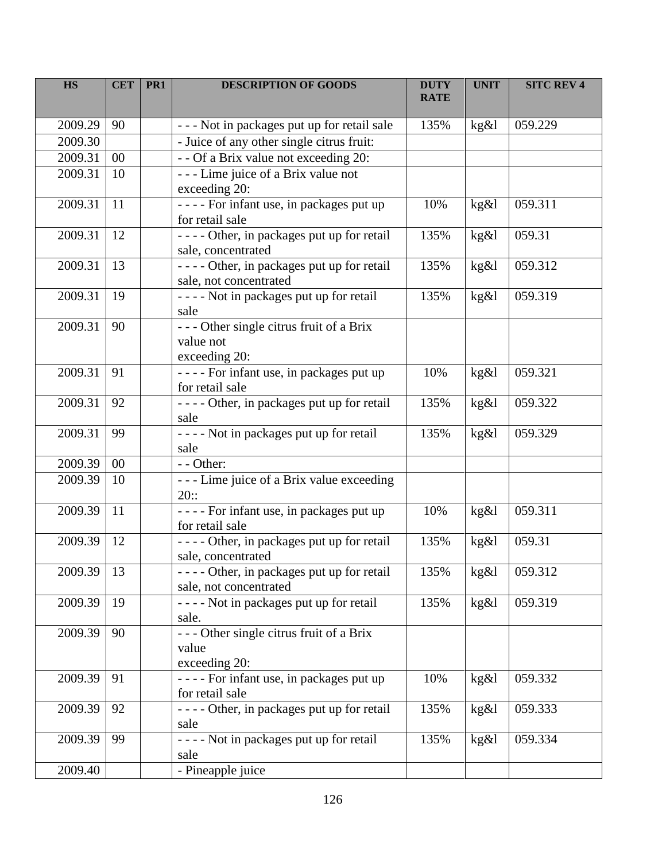| <b>HS</b> | <b>CET</b> | PR <sub>1</sub> | <b>DESCRIPTION OF GOODS</b>                                            | <b>DUTY</b><br><b>RATE</b> | <b>UNIT</b> | <b>SITC REV 4</b> |
|-----------|------------|-----------------|------------------------------------------------------------------------|----------------------------|-------------|-------------------|
| 2009.29   | 90         |                 | - - - Not in packages put up for retail sale                           | 135%                       | kg&l        | 059.229           |
| 2009.30   |            |                 | - Juice of any other single citrus fruit:                              |                            |             |                   |
| 2009.31   | $00\,$     |                 | - - Of a Brix value not exceeding 20:                                  |                            |             |                   |
| 2009.31   | 10         |                 | --- Lime juice of a Brix value not<br>exceeding 20:                    |                            |             |                   |
| 2009.31   | 11         |                 | ---- For infant use, in packages put up<br>for retail sale             | 10%                        | kg&l        | 059.311           |
| 2009.31   | 12         |                 | - - - - Other, in packages put up for retail<br>sale, concentrated     | 135%                       | kg&l        | 059.31            |
| 2009.31   | 13         |                 | - - - - Other, in packages put up for retail<br>sale, not concentrated | 135%                       | kg&l        | 059.312           |
| 2009.31   | 19         |                 | - - - - Not in packages put up for retail<br>sale                      | 135%                       | kg&l        | 059.319           |
| 2009.31   | 90         |                 | --- Other single citrus fruit of a Brix<br>value not<br>exceeding 20:  |                            |             |                   |
| 2009.31   | 91         |                 | - - - - For infant use, in packages put up<br>for retail sale          | 10%                        | kg&l        | 059.321           |
| 2009.31   | 92         |                 | - - - - Other, in packages put up for retail<br>sale                   | 135%                       | kg&l        | 059.322           |
| 2009.31   | 99         |                 | ---- Not in packages put up for retail<br>sale                         | 135%                       | kg&l        | 059.329           |
| 2009.39   | $00\,$     |                 | - - Other:                                                             |                            |             |                   |
| 2009.39   | 10         |                 | --- Lime juice of a Brix value exceeding<br>20::                       |                            |             |                   |
| 2009.39   | 11         |                 | - - - - For infant use, in packages put up<br>for retail sale          | 10%                        | kg&l        | 059.311           |
| 2009.39   | 12         |                 | - - - - Other, in packages put up for retail<br>sale, concentrated     | 135%                       | kg&l        | 059.31            |
| 2009.39   | 13         |                 | - - - - Other, in packages put up for retail<br>sale, not concentrated | 135%                       | kg&l        | 059.312           |
| 2009.39   | 19         |                 | - - - - Not in packages put up for retail<br>sale.                     | 135%                       | kg&l        | 059.319           |
| 2009.39   | 90         |                 | --- Other single citrus fruit of a Brix<br>value<br>exceeding 20:      |                            |             |                   |
| 2009.39   | 91         |                 | - - - - For infant use, in packages put up<br>for retail sale          | 10%                        | kg&l        | 059.332           |
| 2009.39   | 92         |                 | - - - - Other, in packages put up for retail<br>sale                   | 135%                       | kg&l        | 059.333           |
| 2009.39   | 99         |                 | - - - - Not in packages put up for retail<br>sale                      | 135%                       | kg&l        | 059.334           |
| 2009.40   |            |                 | - Pineapple juice                                                      |                            |             |                   |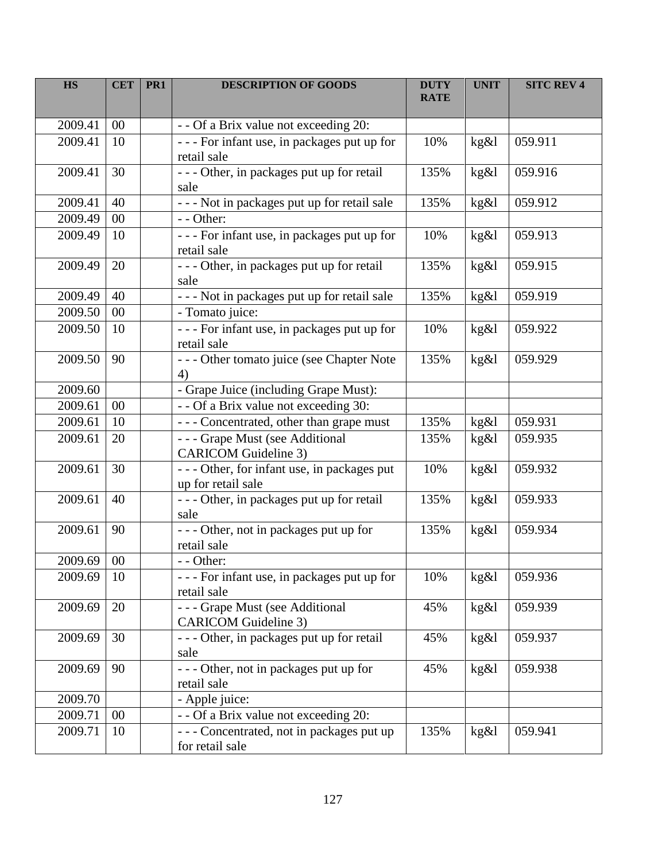| <b>HS</b>    | <b>CET</b> | PR <sub>1</sub> | <b>DESCRIPTION OF GOODS</b>                                        | <b>DUTY</b><br><b>RATE</b> | <b>UNIT</b> | <b>SITC REV 4</b> |
|--------------|------------|-----------------|--------------------------------------------------------------------|----------------------------|-------------|-------------------|
| 2009.41      | $00\,$     |                 | - - Of a Brix value not exceeding 20:                              |                            |             |                   |
| 2009.41      | 10         |                 | - - - For infant use, in packages put up for<br>retail sale        | 10%                        | kg&l        | 059.911           |
| 2009.41      | 30         |                 | - - - Other, in packages put up for retail<br>sale                 | 135%                       | kg&l        | 059.916           |
| 2009.41      | 40         |                 | - - - Not in packages put up for retail sale                       | 135%                       | kg&l        | 059.912           |
| 2009.49      | $00\,$     |                 | - - Other:                                                         |                            |             |                   |
| 2009.49      | 10         |                 | - - - For infant use, in packages put up for<br>retail sale        | 10%                        | kg&l        | 059.913           |
| 2009.49      | 20         |                 | - - - Other, in packages put up for retail<br>sale                 | 135%                       | kg&l        | 059.915           |
| 2009.49      | 40         |                 | - - - Not in packages put up for retail sale                       | 135%                       | kg&l        | 059.919           |
| 2009.50      | $00\,$     |                 | - Tomato juice:                                                    |                            |             |                   |
| 2009.50      | 10         |                 | - - - For infant use, in packages put up for<br>retail sale        | 10%                        | kg&l        | 059.922           |
| 2009.50      | 90         |                 | --- Other tomato juice (see Chapter Note<br>4)                     | 135%                       | kg&l        | 059.929           |
| 2009.60      |            |                 | - Grape Juice (including Grape Must):                              |                            |             |                   |
| 2009.61      | $00\,$     |                 | - - Of a Brix value not exceeding 30:                              |                            |             |                   |
| 2009.61      | 10         |                 | --- Concentrated, other than grape must                            | 135%                       | kg&l        | 059.931           |
| 2009.61      | 20         |                 | --- Grape Must (see Additional<br><b>CARICOM</b> Guideline 3)      | 135%                       | kg&l        | 059.935           |
| 2009.61      | 30         |                 | - - - Other, for infant use, in packages put<br>up for retail sale | 10%                        | kg&l        | 059.932           |
| 2009.61      | 40         |                 | - - - Other, in packages put up for retail<br>sale                 | 135%                       | kg&l        | 059.933           |
| 2009.61      | 90         |                 | --- Other, not in packages put up for<br>retail sale               | 135%                       | kg&l        | 059.934           |
| $2009.69$ 00 |            |                 | $-$ - Other:                                                       |                            |             |                   |
| 2009.69      | 10         |                 | - - - For infant use, in packages put up for<br>retail sale        | 10%                        | kg&l        | 059.936           |
| 2009.69      | 20         |                 | --- Grape Must (see Additional<br><b>CARICOM</b> Guideline 3)      | 45%                        | kg&l        | 059.939           |
| 2009.69      | 30         |                 | - - - Other, in packages put up for retail<br>sale                 | 45%                        | kg&l        | 059.937           |
| 2009.69      | 90         |                 | --- Other, not in packages put up for<br>retail sale               | 45%                        | kg&l        | 059.938           |
| 2009.70      |            |                 | - Apple juice:                                                     |                            |             |                   |
| 2009.71      | $00\,$     |                 | - - Of a Brix value not exceeding 20:                              |                            |             |                   |
| 2009.71      | 10         |                 | - - - Concentrated, not in packages put up<br>for retail sale      | 135%                       | kg&l        | 059.941           |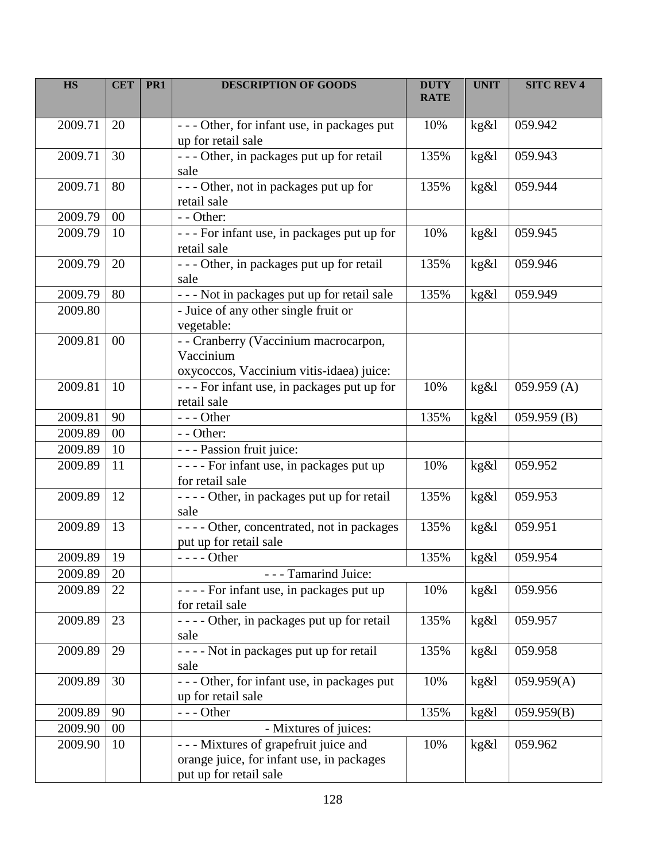| <b>HS</b> | <b>CET</b> | PR <sub>1</sub> | <b>DESCRIPTION OF GOODS</b>                                                                                   | <b>DUTY</b><br><b>RATE</b> | <b>UNIT</b> | <b>SITC REV 4</b> |
|-----------|------------|-----------------|---------------------------------------------------------------------------------------------------------------|----------------------------|-------------|-------------------|
| 2009.71   | 20         |                 | - - - Other, for infant use, in packages put<br>up for retail sale                                            | 10%                        | kg&l        | 059.942           |
| 2009.71   | 30         |                 | - - - Other, in packages put up for retail<br>sale                                                            | 135%                       | kg&l        | 059.943           |
| 2009.71   | 80         |                 | --- Other, not in packages put up for<br>retail sale                                                          | 135%                       | kg&l        | 059.944           |
| 2009.79   | $00\,$     |                 | - - Other:                                                                                                    |                            |             |                   |
| 2009.79   | 10         |                 | - - - For infant use, in packages put up for<br>retail sale                                                   | 10%                        | kg&l        | 059.945           |
| 2009.79   | 20         |                 | - - - Other, in packages put up for retail<br>sale                                                            | 135%                       | kg&l        | 059.946           |
| 2009.79   | 80         |                 | - - - Not in packages put up for retail sale                                                                  | 135%                       | kg&l        | 059.949           |
| 2009.80   |            |                 | - Juice of any other single fruit or<br>vegetable:                                                            |                            |             |                   |
| 2009.81   | $00\,$     |                 | - - Cranberry (Vaccinium macrocarpon,<br>Vaccinium<br>oxycoccos, Vaccinium vitis-idaea) juice:                |                            |             |                   |
| 2009.81   | 10         |                 | - - - For infant use, in packages put up for<br>retail sale                                                   | 10%                        | kg&l        | 059.959(A)        |
| 2009.81   | 90         |                 | $--$ Other                                                                                                    | 135%                       | kg&l        | 059.959(B)        |
| 2009.89   | $00\,$     |                 | - - Other:                                                                                                    |                            |             |                   |
| 2009.89   | 10         |                 | - - - Passion fruit juice:                                                                                    |                            |             |                   |
| 2009.89   | 11         |                 | - - - - For infant use, in packages put up<br>for retail sale                                                 | 10%                        | kg&l        | 059.952           |
| 2009.89   | 12         |                 | - - - - Other, in packages put up for retail<br>sale                                                          | 135%                       | kg&l        | 059.953           |
| 2009.89   | 13         |                 | - - - - Other, concentrated, not in packages<br>put up for retail sale                                        | 135%                       | kg&l        | 059.951           |
| 2009.89   | 19         |                 | $--- Other$                                                                                                   | 135%                       | kg&l        | 059.954           |
| 2009.89   | 20         |                 | - - - Tamarind Juice:                                                                                         |                            |             |                   |
| 2009.89   | 22         |                 | - - - - For infant use, in packages put up<br>for retail sale                                                 | 10%                        | kg&l        | 059.956           |
| 2009.89   | 23         |                 | - - - - Other, in packages put up for retail<br>sale                                                          | 135%                       | kg&l        | 059.957           |
| 2009.89   | 29         |                 | - - - - Not in packages put up for retail<br>sale                                                             | 135%                       | kg&l        | 059.958           |
| 2009.89   | 30         |                 | --- Other, for infant use, in packages put<br>up for retail sale                                              | 10%                        | kg&l        | 059.959(A)        |
| 2009.89   | 90         |                 | $--$ Other                                                                                                    | 135%                       | kg&l        | 059.959(B)        |
| 2009.90   | 00         |                 | - Mixtures of juices:                                                                                         |                            |             |                   |
| 2009.90   | 10         |                 | - - - Mixtures of grapefruit juice and<br>orange juice, for infant use, in packages<br>put up for retail sale | 10%                        | kg&l        | 059.962           |